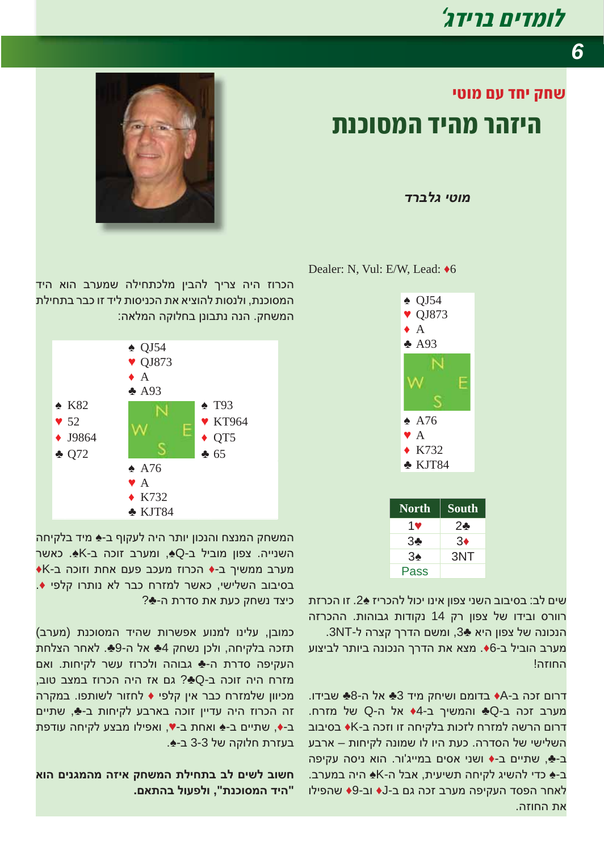## *<u>†ומדים ברידג'</u>*

*6*

## **¥¤¡ª ©® £¥ ³£µ ¶¬§¡ª ¥ ª ´ ¢¥**

*ʣʸʡʬʢ ʩʨʥʮ*



Ƅ QJ54 ▼ QJ873  $\bullet$  A ƅ A93 Ƅ A76 Ɔ A Ƈ K732 ƅ KJT84 **North South**  $1$   $2$   $2$  $3 \bullet$  3 $\bullet$ 3Ƅ 3NT

שים לב: בסיבוב השני צפון אינו יכול להכריז 2ֻ4. זו הכרזת רוורס ובידו של צפון רק 14 נקודות גבוהות. ההכרזה הנכונה של צפון היא ♣3, ומשם הדרך קצרה ל-3NT. מערב הוביל ב-6♦. מצא את הדרך הנכונה ביותר לביצוע החוזה!

Pass

דרום זכה ב-A♦ בדומם ושיחק מיד 3♣ אל ה-8♣ שבידו. מערב זכה ב-Q♣ והמשיך ב-4♦ אל ה-Q של מזרח. דרום הרשה למזרח לזכות בלקיחה זו וזכה ב-K**+** בסיבוב השלישי של הסדרה. כעת היו לו שמונה לקיחות – ארבע ב-♣, שתיים ב-♦ ושני אסים במייג'ור. הוא ניסה עקיפה ב-ِ כדי להשיג לקיחה תשיעית, אבל ה-K<u>≼</u> היה במערב. לאחר הפסד העקיפה מערב זכה גם ב-J∙ וב-9∳ שהפילו את החוזה.



הכרוז היה צריך להבין מלכתחילה שמערב הוא היד המסוכנת. ולנסות להוציא את הכניסות ליד זו כבר בתחילת המשחק. הנה נתבונן בחלוקה המלאה:



המשחק המנצח והנכון יותר היה לעקוף ב-♠ מיד בלקיחה השנייה. צפון מוביל ב-G⊕, ומערב זוכה ב-K≜. כאשר **•K·מערב ממשיך ב-◆ הכרוז מעכב פעם אחת וזוכה ב** .**≙o**טבוב השלישי, כאשר למזרח כבר לא נותרו קלפי  $?$ ליצד נשחק כעת את סדרת ה-♣

(מערב), כמובן, עלינו למנוע אפשרות שהיד המסוכנת תזכה בלקיחה, ולכן נשחק 4♣ אל ה-9♣. לאחר הצלחת העקיפה סדרת ה-♣ גבוהה ולכרוז עשר לקיחות. ואם מזרח היה זוכה ב-Q♣? גם אז היה הכרוז במצב טוב. מכיוון שלמזרח כבר אין קלפי ♦ לחזור לשותפו. במקרה זה הכרוז היה עדיין זוכה בארבע לקיחות ב-<u>♣,</u> שתיים ב-♦, שתיים ב-♠ ואחת ב-▼, ואפילו מבצע לקיחה עודפת בעזרת חלוקה של 3-3 ב-♠.

**ʠʥʤ ʭʩʰʢʮʤʮ ʤʦʩʠ ʷʧʹʮʤ ʺʬʩʧʺʡ ʡʬ ʭʩʹʬ ʡʥʹʧ .ʭʠʺʤʡ ʬʥʲʴʬʥ ,"ʺʰʫʥʱʮʤ ʣʩʤ"**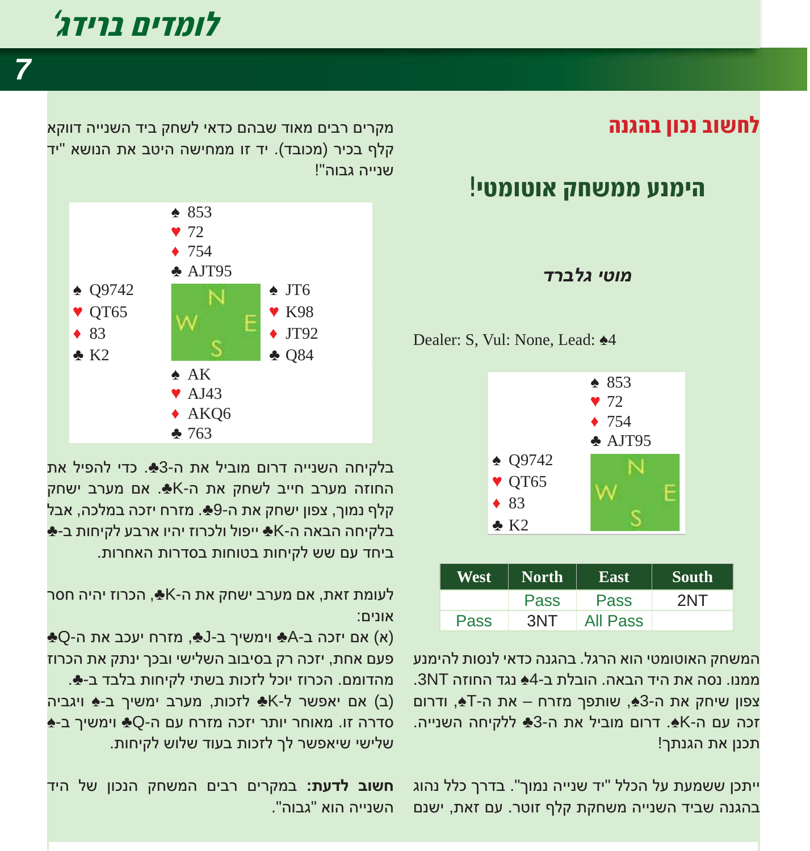## *<u>†ומדים ברידג'</u>*

*7*

### **¬ «¡§¬ ¡µ£¨**

### **!¥¤ª¡¤¡ ³£µªª ®¬ª¥**

#### *ʣʸʡʬʢ ʩʨʥʮ*

Dealer: S, Vul: None, Lead:  $\triangle 4$ 



| West | <b>North</b> | <b>East</b> | South |
|------|--------------|-------------|-------|
|      | <b>Pass</b>  | <b>Pass</b> | 2NT   |
| Pass | 3NT          | All Pass    |       |

המשחק האוטומטי הוא הרגל. בהגנה כדאי לנסות להימנע ממנו, נסה את היד הראה, הורלת ר-4≜ נגד החוזה 3NT. צפון שיחק את ה-3♠, שותפך מזרח – את ה-T♣, ודרום . זכה עם ה-K≰. דרום מוביל את ה-3♣ ללקיחה השנייה תכנן את הגנתך!

ייתכן ששמעת על הכלל "יד שנייה נמוך". בדרך כלל נהוג בהגנה שביד השנייה משחקת קלף זוטר. עם זאת, ישנם

מקרים רבים מאוד שבהם כדאי לשחק ביד השנייה דווקא הלף בכיר (מכובד). יד זו ממחישה היטב את הנושא "יד וענייה גרוה"!



בלקיחה השנייה דרום מוביל את ה-3♣. כדי להפיל את החוזה מערב חייב לשחק את ה-K♣. אם מערב ישחק קלף נמוך, צפון ישחק את ה-9ِ♣. מזרח יזכה במלכה, אבל  $\clubsuit$ לקיחה הבאה ה-K $\clubsuit$  ייפול ולכרוז יהיו ארבע לקיחות ב-ביחד עם שש לקיחות בטוחות בסדרות האחרות.

לעומת זאת, אם מערב ישחק את ה-K<sub>\*</sub>, הכרוז יהיה חסר :אונים

ƅQ-ʤ ʺʠ ʡʫʲʩ ʧʸʦʮ ,ƅJ-ʡ ʪʩʹʮʩʥ ƅA-ʡ ʤʫʦʩ ʭʠ (ʠ) פעם אחת, יזכה רק בסיבוב השלישי ובכך ינתק את הכרוז מהדומם. הכרוז יוכל לזכות בשתי לקיחות בלבד ב-♣. (ב) אם יאפשר ל-K<br לזכות, מערב ימשיך ב-<u>^</u> ויגביה ∲-a־דרה זו. מאוחר יותר יזכה מזרח עם ה-Q∱ וימשיך ב שלישי שיאפשר לך לזכות בעוד שלוש לקיחות.

ʣʩʤ ʬʹ ʯʥʫʰʤ ʷʧʹʮʤ ʭʩʡʸ ʭʩʸʷʮʡ **:ʺʲʣʬ ʡʥʹʧ** השנייה הוא "גרוה".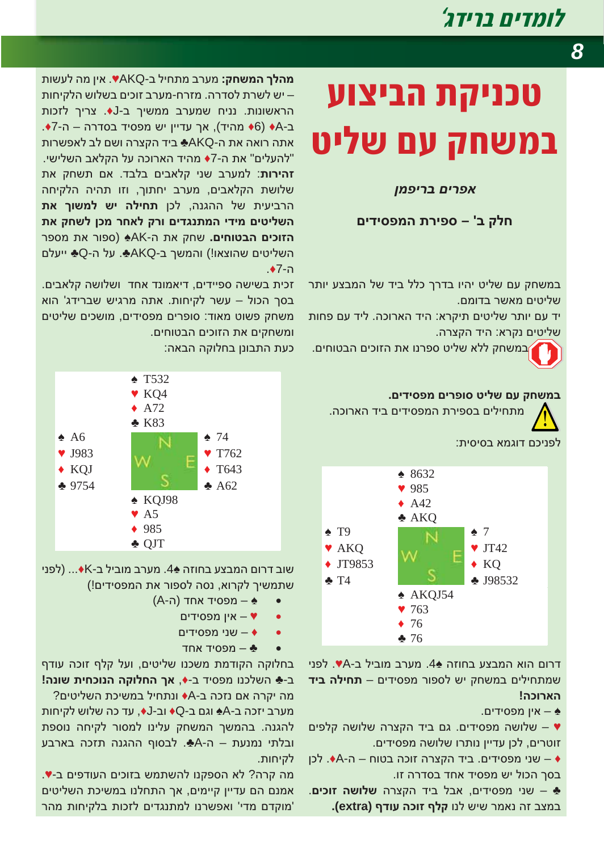## *†ומדים ברידג'*

# **טכניקת הביצוע במשחק עם שליט**

#### *ʯʮʴʩʸʡ ʭʩʸʴʠ*

#### **ʭʩʣʩʱʴʮʤ ʺʸʩʴʱ – 'ʡ ʷʬʧ**

במשחק עם שליט יהיו בדרך כלל ביד של המבצע יותר שליטים מאשר בדומם.

יד עם יותר שליטים תיקרא: היד הארוכה. ליד עם פחות שליטים נקרא: היד הקצרה.

במשחק ללא שליט ספרנו את הזוכים הבטוחים.



מתחילים בספירת המפסידים ביד הארוכה.

לפניכם דוגמא בסיסית:



דרום הוא המבצע בחוזה 44. מערב מוביל ב-VA. לפני שמתחילים במשחק יש לספור מפסידים – **תחילה ביד !ʤʫʥʸʠʤ**

א – אין מפסידים.

שלושה מפסידים. גם ביד הקצרה שלושה קלפים  $\blacktriangledown$ זוטרים, לכן עדיין נותרו שלושה מפסידים.

שני מפסידים. ביד הקצרה זוכה בטוח – ה-A+. לכן → בסך הכול יש מפסיד אחד בסדרה זו.

שני מפסידים, אבל ביד הקצרה **שלושה זוכים. →** במצב זה נאמר שיש לנו **קלף זוכה עודף (extra).** 

**מהלך המשחק:** מערב מתחיל ב-VAKQ∙. אין מה לעשות ש לשרת לסדרה. מזרח-מערב זוכים בשלוש הלקיחות -הראשונות. נניח שמערב ממשיך ב-J+. צריך לזכות ב-A♦ (6♦ מהיד), אך עדיין יש מפסיד בסדרה – ה-7**+**. אתה רואה את ה-AKQ**+ ב**יד הקצרה ושם לב לאפשרות "להעלים" את ה-7♦ מהיד הארוכה על הקלאב השלישי. **זהירות**: למערב שני קלאבים בלבד. אם תשחק את שלושת הקלאבים, מערב יחתוך, וזו תהיה הלקיחה הרביעית של ההגנה, לכן **תחילה יש למשוך את** השליטים מידי המתנגדים ורק לאחר מכן לשחק את ה**זוכים הבטוחים.** שחק את ה-AK<u>+</u> (ספור את מספר השליטים שהוצאו!) והמשך ב-AKQ∱. על ה-Q∳ ייעלם .Ƈ7-ʤ

זכית בשישה ספיידים, דיאמונד אחד ושלושה קלאבים. בסך הכול – עשר לקיחות. אתה מרגיש שברידג' הוא משחק פשוט מאוד: סופרים מפסידים, מושכים שליטים ומשחקים את הזוכים הבטוחים.

כעת התבונן בחלוקה הבאה:



שוב דרום המבצע בחוזה ِ44. מערב מוביל ב-K∙... (לפני שתמשיך לקרוא, נסה לספור את המפסידים!)

- (A-ה) א מפסיד אחד
	- ש אין מפסידים
	- שני מפסידים +
	- $\clubsuit$  מפסיד אחד

בחלוקה הקודמת משכנו שליטים, ועל קלף זוכה עודף **ב-ِ השלכנו מפסיד ב-♦, אך החלוקה הנוכחית שונה!**  $?$ מה יקרה אם נזכה ב-A♦ ונתחיל במשיכת השליטים

מערב יזכה ב-4∱ וגם ב-Q♦ וב-J+, עד כה שלוש לקיחות להגנה. בהמשך המשחק עלינו למסור לקיחה נוספת ובלתי נמנעת – ה-Aً. לבסוף ההגנה תזכה בארבע לקיחות.

מה קרה? לא הספקנו להשתמש בזוכים העודפים ב-♥. אמנם הם עדיין קיימים, אך התחלנו במשיכת השליטים מוקדם מדי' ואפשרנו למתנגדים לזכות בלקיחות מהר'